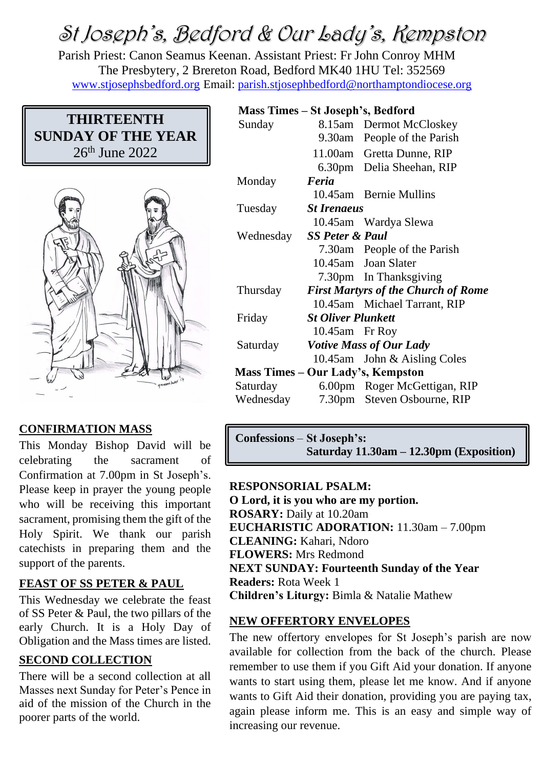# St Joseph's, Bedford & Our Lady's, Kempston

Parish Priest: Canon Seamus Keenan. Assistant Priest: Fr John Conroy MHM The Presbytery, 2 Brereton Road, Bedford MK40 1HU Tel: 352569 [www.stjosephsbedford.org](http://www.stjosephsbedford.org/) Email: [parish.stjosephbedford@northamptondiocese.org](mailto:parish.stjosephbedford@northamptondiocese.org)

# **THIRTEENTH SUNDAY OF THE YEAR** 26<sup>th</sup> June 2022



## **CONFIRMATION MASS**

This Monday Bishop David will be celebrating the sacrament of Confirmation at 7.00pm in St Joseph's. Please keep in prayer the young people who will be receiving this important sacrament, promising them the gift of the Holy Spirit. We thank our parish catechists in preparing them and the support of the parents.

## **FEAST OF SS PETER & PAUL**

This Wednesday we celebrate the feast of SS Peter & Paul, the two pillars of the early Church. It is a Holy Day of Obligation and the Mass times are listed.

#### **SECOND COLLECTION**

There will be a second collection at all Masses next Sunday for Peter's Pence in aid of the mission of the Church in the poorer parts of the world.

| Mass Times – St Joseph's, Bedford |                                            |                              |  |
|-----------------------------------|--------------------------------------------|------------------------------|--|
| Sunday                            |                                            | 8.15am Dermot McCloskey      |  |
|                                   |                                            | 9.30am People of the Parish  |  |
|                                   |                                            | 11.00am Gretta Dunne, RIP    |  |
|                                   |                                            | 6.30pm Delia Sheehan, RIP    |  |
| Monday                            | Feria                                      |                              |  |
|                                   |                                            | 10.45am Bernie Mullins       |  |
| Tuesday                           | <b>St Irenaeus</b>                         |                              |  |
|                                   |                                            | 10.45am Wardya Slewa         |  |
| Wednesday                         |                                            | <b>SS Peter &amp; Paul</b>   |  |
|                                   |                                            | 7.30am People of the Parish  |  |
|                                   |                                            | 10.45am Joan Slater          |  |
|                                   |                                            | 7.30pm In Thanksgiving       |  |
| Thursday                          | <b>First Martyrs of the Church of Rome</b> |                              |  |
|                                   |                                            | 10.45am Michael Tarrant, RIP |  |
| Friday                            | <b>St Oliver Plunkett</b>                  |                              |  |
|                                   | 10.45am Fr Roy                             |                              |  |
| Saturday                          | <b>Votive Mass of Our Lady</b>             |                              |  |
|                                   |                                            | 10.45am John & Aisling Coles |  |
| Mass Times – Our Lady's, Kempston |                                            |                              |  |
| Saturday                          |                                            | 6.00pm Roger McGettigan, RIP |  |
| Wednesday                         |                                            | 7.30pm Steven Osbourne, RIP  |  |

**Confessions** – **St Joseph's: Saturday 11.30am – 12.30pm (Exposition)**

#### **RESPONSORIAL PSALM:**

**O Lord, it is you who are my portion. ROSARY:** Daily at 10.20am **EUCHARISTIC ADORATION:** 11.30am – 7.00pm **CLEANING:** Kahari, Ndoro **FLOWERS:** Mrs Redmond **NEXT SUNDAY: Fourteenth Sunday of the Year Readers:** Rota Week 1 **Children's Liturgy:** Bimla & Natalie Mathew

#### **NEW OFFERTORY ENVELOPES**

The new offertory envelopes for St Joseph's parish are now available for collection from the back of the church. Please remember to use them if you Gift Aid your donation. If anyone wants to start using them, please let me know. And if anyone wants to Gift Aid their donation, providing you are paying tax, again please inform me. This is an easy and simple way of increasing our revenue.